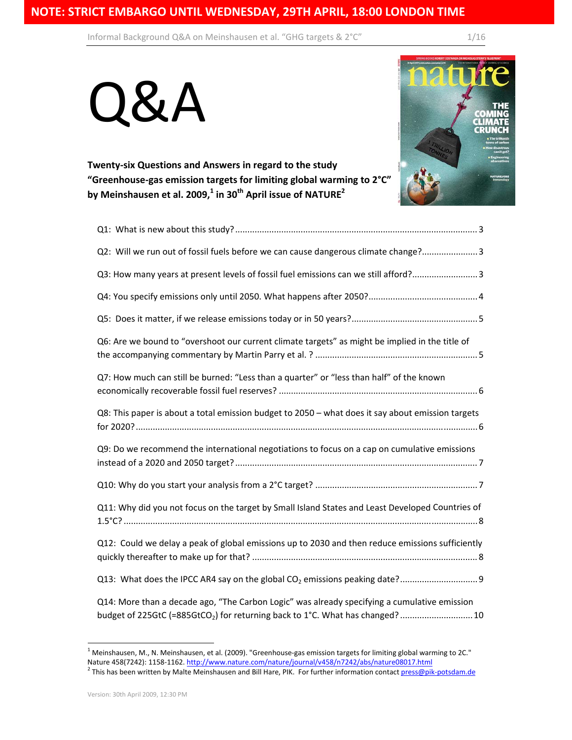Informal Background Q&A on Meinshausen et al. "GHG targets & 2°C" 1/16





**Twenty‐six Questions and Answers in regard to the study "Greenhouse‐gas emission targets for limiting global warming to 2°C" by Meinshausen et al. 2009,<sup>1</sup> in 30th April issue of NATURE2** 

| Q2: Will we run out of fossil fuels before we can cause dangerous climate change? 3                                                                                                       |
|-------------------------------------------------------------------------------------------------------------------------------------------------------------------------------------------|
| Q3: How many years at present levels of fossil fuel emissions can we still afford? 3                                                                                                      |
|                                                                                                                                                                                           |
|                                                                                                                                                                                           |
| Q6: Are we bound to "overshoot our current climate targets" as might be implied in the title of                                                                                           |
| Q7: How much can still be burned: "Less than a quarter" or "less than half" of the known                                                                                                  |
| Q8: This paper is about a total emission budget to 2050 - what does it say about emission targets                                                                                         |
| Q9: Do we recommend the international negotiations to focus on a cap on cumulative emissions                                                                                              |
|                                                                                                                                                                                           |
| Q11: Why did you not focus on the target by Small Island States and Least Developed Countries of                                                                                          |
| Q12: Could we delay a peak of global emissions up to 2030 and then reduce emissions sufficiently                                                                                          |
|                                                                                                                                                                                           |
| Q14: More than a decade ago, "The Carbon Logic" was already specifying a cumulative emission<br>budget of 225GtC (=885GtCO <sub>2</sub> ) for returning back to 1°C. What has changed? 10 |

 $^1$  Meinshausen, M., N. Meinshausen, et al. (2009). "Greenhouse-gas emission targets for limiting global warming to 2C." Nature 458(7242): 1158-1162. http://www.nature.com/nature/journal/v458/n7242/abs/nature08017.html 2<br><sup>2</sup> This has been written by Malte Meinshausen and Bill Hare, PIK. For further information contact press@pik-potsdam.de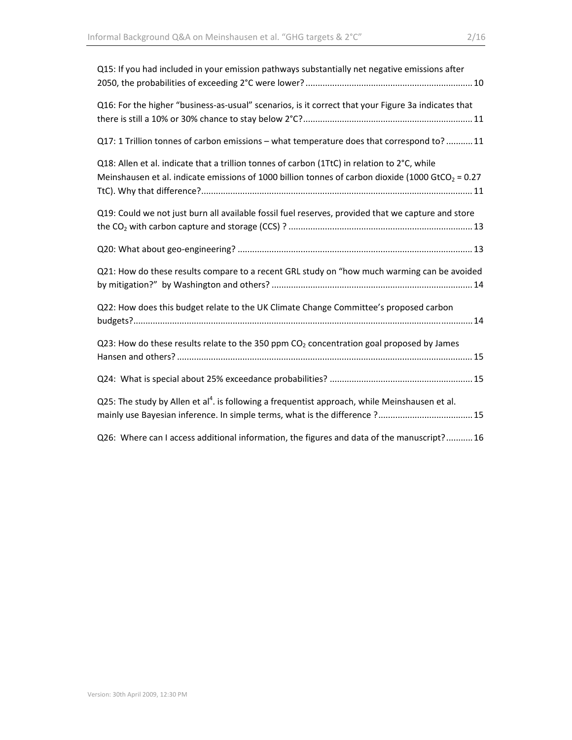| Q15: If you had included in your emission pathways substantially net negative emissions after                                                                                                                 |
|---------------------------------------------------------------------------------------------------------------------------------------------------------------------------------------------------------------|
| Q16: For the higher "business-as-usual" scenarios, is it correct that your Figure 3a indicates that                                                                                                           |
| Q17: 1 Trillion tonnes of carbon emissions - what temperature does that correspond to? 11                                                                                                                     |
| Q18: Allen et al. indicate that a trillion tonnes of carbon (1TtC) in relation to 2°C, while<br>Meinshausen et al. indicate emissions of 1000 billion tonnes of carbon dioxide (1000 GtCO <sub>2</sub> = 0.27 |
| Q19: Could we not just burn all available fossil fuel reserves, provided that we capture and store                                                                                                            |
|                                                                                                                                                                                                               |
| Q21: How do these results compare to a recent GRL study on "how much warming can be avoided                                                                                                                   |
| Q22: How does this budget relate to the UK Climate Change Committee's proposed carbon                                                                                                                         |
| Q23: How do these results relate to the 350 ppm $CO2$ concentration goal proposed by James                                                                                                                    |
|                                                                                                                                                                                                               |
| Q25: The study by Allen et al <sup>4</sup> . is following a frequentist approach, while Meinshausen et al.<br>mainly use Bayesian inference. In simple terms, what is the difference ? 15                     |
| Q26: Where can I access additional information, the figures and data of the manuscript? 16                                                                                                                    |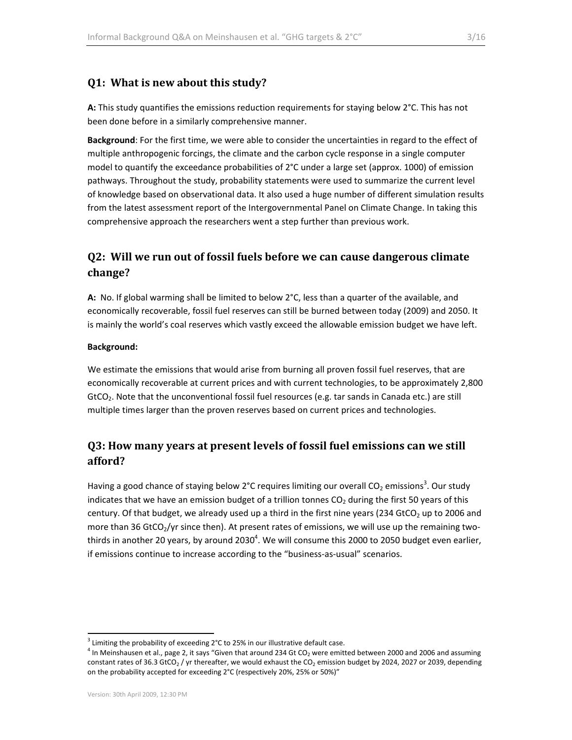### **Q1: What is new about this study?**

**A:** This study quantifies the emissions reduction requirements for staying below 2°C. This has not been done before in a similarly comprehensive manner.

**Background**: For the first time, we were able to consider the uncertainties in regard to the effect of multiple anthropogenic forcings, the climate and the carbon cycle response in a single computer model to quantify the exceedance probabilities of 2°C under a large set (approx. 1000) of emission pathways. Throughout the study, probability statements were used to summarize the current level of knowledge based on observational data. It also used a huge number of different simulation results from the latest assessment report of the Intergovernmental Panel on Climate Change. In taking this comprehensive approach the researchers went a step further than previous work.

## **Q2: Will we run out of fossil fuels before we can cause dangerous climate change?**

**A:** No. If global warming shall be limited to below 2°C, less than a quarter of the available, and economically recoverable, fossil fuel reserves can still be burned between today (2009) and 2050. It is mainly the world's coal reserves which vastly exceed the allowable emission budget we have left.

#### **Background:**

We estimate the emissions that would arise from burning all proven fossil fuel reserves, that are economically recoverable at current prices and with current technologies, to be approximately 2,800 GtCO<sub>2</sub>. Note that the unconventional fossil fuel resources (e.g. tar sands in Canada etc.) are still multiple times larger than the proven reserves based on current prices and technologies.

## **Q3: How many years at present levels of fossil fuel emissions can we still afford?**

Having a good chance of staying below 2°C requires limiting our overall CO<sub>2</sub> emissions<sup>3</sup>. Our study indicates that we have an emission budget of a trillion tonnes  $CO<sub>2</sub>$  during the first 50 years of this century. Of that budget, we already used up a third in the first nine years (234 GtCO<sub>2</sub> up to 2006 and more than 36 GtCO<sub>2</sub>/yr since then). At present rates of emissions, we will use up the remaining twothirds in another 20 years, by around 2030<sup>4</sup>. We will consume this 2000 to 2050 budget even earlier, if emissions continue to increase according to the "business‐as‐usual" scenarios.

 $^3$  Limiting the probability of exceeding 2°C to 25% in our illustrative default case.<br><sup>4</sup> In Meinshausen et al., page 2, it says "Given that around 234 Gt CO<sub>2</sub> were emitted between 2000 and 2006 and assuming constant rates of 36.3 GtCO<sub>2</sub> / yr thereafter, we would exhaust the CO<sub>2</sub> emission budget by 2024, 2027 or 2039, depending on the probability accepted for exceeding 2°C (respectively 20%, 25% or 50%)"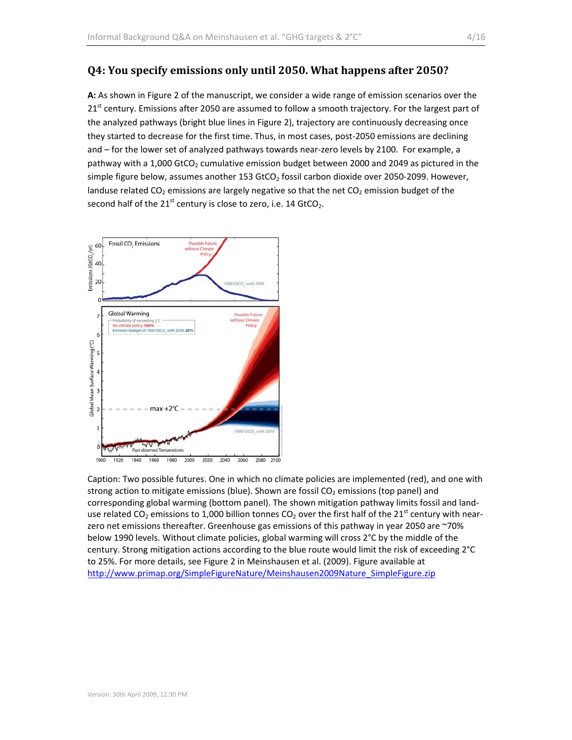#### **Q4: You specify emissions only until 2050. What happens after 2050?**

**A:** As shown in Figure 2 of the manuscript, we consider a wide range of emission scenarios over the  $21<sup>st</sup>$  century. Emissions after 2050 are assumed to follow a smooth trajectory. For the largest part of the analyzed pathways (bright blue lines in Figure 2), trajectory are continuously decreasing once they started to decrease for the first time. Thus, in most cases, post-2050 emissions are declining and – for the lower set of analyzed pathways towards near-zero levels by 2100. For example, a pathway with a 1,000 GtCO<sub>2</sub> cumulative emission budget between 2000 and 2049 as pictured in the simple figure below, assumes another 153 GtCO<sub>2</sub> fossil carbon dioxide over 2050-2099. However, landuse related  $CO<sub>2</sub>$  emissions are largely negative so that the net  $CO<sub>2</sub>$  emission budget of the second half of the  $21<sup>st</sup>$  century is close to zero, i.e. 14 GtCO<sub>2</sub>.



Caption: Two possible futures. One in which no climate policies are implemented (red), and one with strong action to mitigate emissions (blue). Shown are fossil  $CO<sub>2</sub>$  emissions (top panel) and corresponding global warming (bottom panel). The shown mitigation pathway limits fossil and land‐ use related CO<sub>2</sub> emissions to 1,000 billion tonnes CO<sub>2</sub> over the first half of the 21<sup>st</sup> century with nearzero net emissions thereafter. Greenhouse gas emissions of this pathway in year 2050 are ~70% below 1990 levels. Without climate policies, global warming will cross 2°C by the middle of the century. Strong mitigation actions according to the blue route would limit the risk of exceeding 2°C to 25%. For more details, see Figure 2 in Meinshausen et al. (2009). Figure available at http://www.primap.org/SimpleFigureNature/Meinshausen2009Nature\_SimpleFigure.zip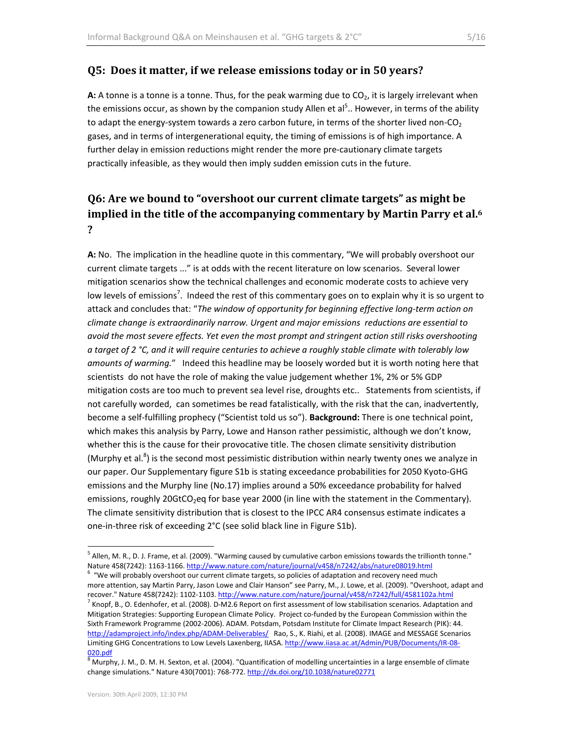#### **Q5: Does it matter, if we release emissions today or in 50 years?**

A: A tonne is a tonne is a tonne. Thus, for the peak warming due to CO<sub>2</sub>, it is largely irrelevant when the emissions occur, as shown by the companion study Allen et al<sup>5</sup>.. However, in terms of the ability to adapt the energy-system towards a zero carbon future, in terms of the shorter lived non-CO<sub>2</sub> gases, and in terms of intergenerational equity, the timing of emissions is of high importance. A further delay in emission reductions might render the more pre-cautionary climate targets practically infeasible, as they would then imply sudden emission cuts in the future.

## **Q6: Are we bound to "overshoot our current climate targets" as might be implied in the title of the accompanying commentary by Martin Parry et al.6 ?**

**A:** No. The implication in the headline quote in this commentary, "We will probably overshoot our current climate targets ..." is at odds with the recent literature on low scenarios. Several lower mitigation scenarios show the technical challenges and economic moderate costs to achieve very low levels of emissions<sup>7</sup>. Indeed the rest of this commentary goes on to explain why it is so urgent to attack and concludes that: "*The window of opportunity for beginning effective long‐term action on climate change is extraordinarily narrow. Urgent and major emissions reductions are essential to avoid the most severe effects. Yet even the most prompt and stringent action still risks overshooting* a target of 2 °C, and it will require centuries to achieve a roughly stable climate with tolerably low *amounts of warming.*" Indeed this headline may be loosely worded but it is worth noting here that scientists do not have the role of making the value judgement whether 1%, 2% or 5% GDP mitigation costs are too much to prevent sea level rise, droughts etc.. Statements from scientists, if not carefully worded, can sometimes be read fatalistically, with the risk that the can, inadvertently, become a self‐fulfilling prophecy ("Scientist told us so"). **Background:** There is one technical point, which makes this analysis by Parry, Lowe and Hanson rather pessimistic, although we don't know, whether this is the cause for their provocative title. The chosen climate sensitivity distribution (Murphy et al. $8$ ) is the second most pessimistic distribution within nearly twenty ones we analyze in our paper. Our Supplementary figure S1b is stating exceedance probabilities for 2050 Kyoto‐GHG emissions and the Murphy line (No.17) implies around a 50% exceedance probability for halved emissions, roughly 20GtCO<sub>2</sub>eq for base year 2000 (in line with the statement in the Commentary). The climate sensitivity distribution that is closest to the IPCC AR4 consensus estimate indicates a one‐in‐three risk of exceeding 2°C (see solid black line in Figure S1b).

 $<sup>5</sup>$  Allen, M. R., D. J. Frame, et al. (2009). "Warming caused by cumulative carbon emissions towards the trillionth tonne."</sup> Nature 458(7242): 1163-1166. http://www.nature.com/nature/journal/v458/n7242/abs/nature08019.html

 $6$  "We will probably overshoot our current climate targets, so policies of adaptation and recovery need much more attention, say Martin Parry, Jason Lowe and Clair Hanson" see Parry, M., J. Lowe, et al. (2009). "Overshoot, adapt and recover." Nature 458(7242): 1102-1103. http://www.nature.com/nature/journal/v458/n7242/full/4581102a.html<br><sup>7</sup> Knopf, B., O. Edenhofer, et al. (2008). D-M2.6 Report on first assessment of low stabilisation scenarios. Adapta Mitigation Strategies: Supporting European Climate Policy. Project co-funded by the European Commission within the Sixth Framework Programme (2002‐2006). ADAM. Potsdam, Potsdam Institute for Climate Impact Research (PIK): 44. http://adamproject.info/index.php/ADAM-Deliverables/ Rao, S., K. Riahi, et al. (2008). IMAGE and MESSAGE Scenarios Limiting GHG Concentrations to Low Levels Laxenberg, IIASA. http://www.iiasa.ac.at/Admin/PUB/Documents/IR-08-

<sup>020.</sup>pdf<br><sup>8</sup> Murphy, J. M., D. M. H. Sexton, et al. (2004). "Quantification of modelling uncertainties in a large ensemble of climate change simulations." Nature 430(7001): 768‐772. http://dx.doi.org/10.1038/nature02771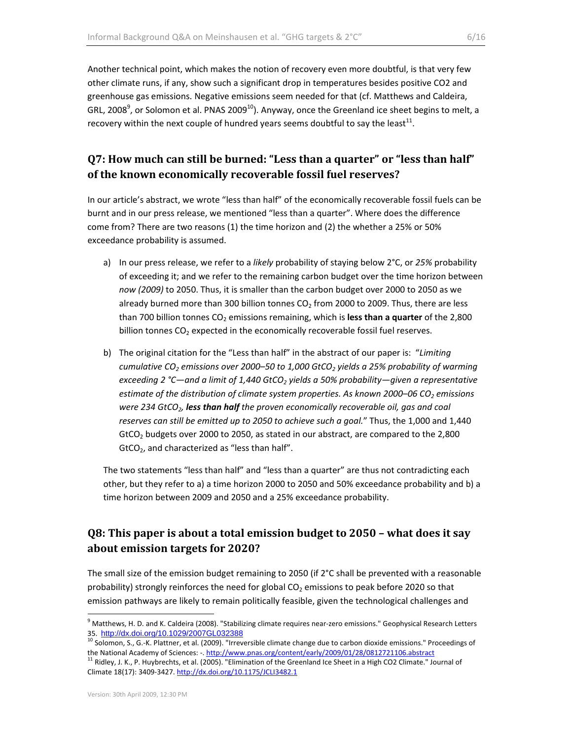Another technical point, which makes the notion of recovery even more doubtful, is that very few other climate runs, if any, show such a significant drop in temperatures besides positive CO2 and greenhouse gas emissions. Negative emissions seem needed for that (cf. Matthews and Caldeira, GRL, 2008<sup>9</sup>, or Solomon et al. PNAS 2009<sup>10</sup>). Anyway, once the Greenland ice sheet begins to melt, a recovery within the next couple of hundred years seems doubtful to say the least<sup>11</sup>.

## **Q7: How much can still be burned: "Less than a quarter" or "less than half" of the known economically recoverable fossil fuel reserves?**

In our article's abstract, we wrote "less than half" of the economically recoverable fossil fuels can be burnt and in our press release, we mentioned "less than a quarter". Where does the difference come from? There are two reasons (1) the time horizon and (2) the whether a 25% or 50% exceedance probability is assumed.

- a) In our press release, we refer to a *likely* probability of staying below 2°C, or *25%* probability of exceeding it; and we refer to the remaining carbon budget over the time horizon between *now (2009)* to 2050. Thus, it is smaller than the carbon budget over 2000 to 2050 as we already burned more than 300 billion tonnes  $CO<sub>2</sub>$  from 2000 to 2009. Thus, there are less than 700 billion tonnes CO<sub>2</sub> emissions remaining, which is less than a quarter of the 2,800 billion tonnes  $CO<sub>2</sub>$  expected in the economically recoverable fossil fuel reserves.
- b) The original citation for the "Less than half" in the abstract of our paper is: "*Limiting cumulative CO2 emissions over 2000–50 to 1,000 GtCO2 yields a 25% probability of warming exceeding 2 °C—and a limit of 1,440 GtCO2 yields a 50% probability—given a representative estimate of the distribution of climate system properties. As known 2000–06 CO2 emissions were 234 GtCO2, less than half the proven economically recoverable oil, gas and coal reserves can still be emitted up to 2050 to achieve such a goal.*" Thus, the 1,000 and 1,440  $GtCO<sub>2</sub>$  budgets over 2000 to 2050, as stated in our abstract, are compared to the 2,800 GtCO2, and characterized as "less than half".

The two statements "less than half" and "less than a quarter" are thus not contradicting each other, but they refer to a) a time horizon 2000 to 2050 and 50% exceedance probability and b) a time horizon between 2009 and 2050 and a 25% exceedance probability.

## **Q8: This paper is about a total emission budget to 2050 – what does it say about emission targets for 2020?**

The small size of the emission budget remaining to 2050 (if 2°C shall be prevented with a reasonable probability) strongly reinforces the need for global  $CO<sub>2</sub>$  emissions to peak before 2020 so that emission pathways are likely to remain politically feasible, given the technological challenges and

 $^9$  Matthews, H. D. and K. Caldeira (2008). "Stabilizing climate requires near-zero emissions." Geophysical Research Letters

<sup>35.</sup> http://dx.doi.org/10.1029/2007GL032388<br><sup>10</sup> Solomon, S., G.-K. Plattner, et al. (2009). "Irreversible climate change due to carbon dioxide emissions." Proceedings of the National Academy of Sciences: -. http://www.pnas.org/content/early/2009/01/28/0812721106.abstract<br><sup>11</sup> Ridley, J. K., P. Huybrechts, et al. (2005). "Elimination of the Greenland Ice Sheet in a High CO2 Climate." Journa

Climate 18(17): 3409‐3427. http://dx.doi.org/10.1175/JCLI3482.1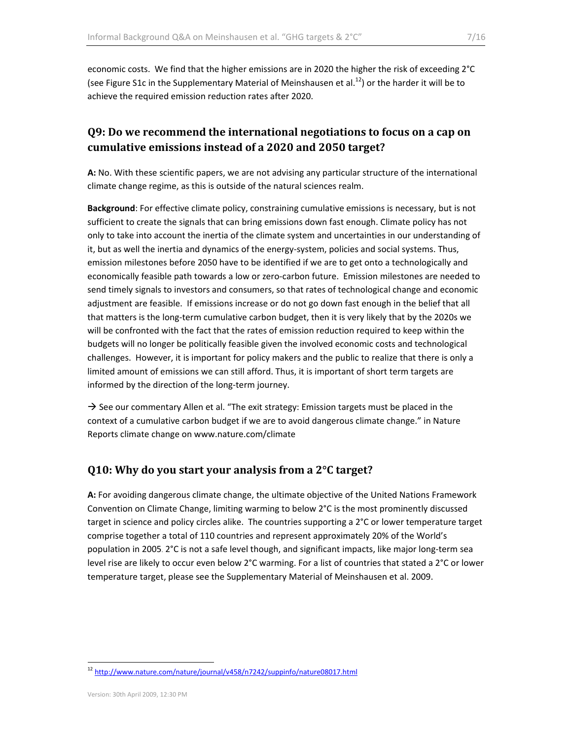economic costs. We find that the higher emissions are in 2020 the higher the risk of exceeding 2°C (see Figure S1c in the Supplementary Material of Meinshausen et al.<sup>12</sup>) or the harder it will be to achieve the required emission reduction rates after 2020.

## **Q9: Do we recommend the international negotiations to focus on a cap on cumulative emissions instead of a 2020 and 2050 target?**

**A:** No. With these scientific papers, we are not advising any particular structure of the international climate change regime, as this is outside of the natural sciences realm.

**Background**: For effective climate policy, constraining cumulative emissions is necessary, but is not sufficient to create the signals that can bring emissions down fast enough. Climate policy has not only to take into account the inertia of the climate system and uncertainties in our understanding of it, but as well the inertia and dynamics of the energy‐system, policies and social systems. Thus, emission milestones before 2050 have to be identified if we are to get onto a technologically and economically feasible path towards a low or zero-carbon future. Emission milestones are needed to send timely signals to investors and consumers, so that rates of technological change and economic adjustment are feasible. If emissions increase or do not go down fast enough in the belief that all that matters is the long‐term cumulative carbon budget, then it is very likely that by the 2020s we will be confronted with the fact that the rates of emission reduction required to keep within the budgets will no longer be politically feasible given the involved economic costs and technological challenges. However, it is important for policy makers and the public to realize that there is only a limited amount of emissions we can still afford. Thus, it is important of short term targets are informed by the direction of the long‐term journey.

 $\rightarrow$  See our commentary Allen et al. "The exit strategy: Emission targets must be placed in the context of a cumulative carbon budget if we are to avoid dangerous climate change." in Nature Reports climate change on www.nature.com/climate

## **Q10: Why do you start your analysis from a 2°C target?**

**A:** For avoiding dangerous climate change, the ultimate objective of the United Nations Framework Convention on Climate Change, limiting warming to below 2°C is the most prominently discussed target in science and policy circles alike. The countries supporting a 2°C or lower temperature target comprise together a total of 110 countries and represent approximately 20% of the World's population in 2005. 2°C is not a safe level though, and significant impacts, like major long‐term sea level rise are likely to occur even below 2°C warming. For a list of countries that stated a 2°C or lower temperature target, please see the Supplementary Material of Meinshausen et al. 2009.

 <sup>12</sup> http://www.nature.com/nature/journal/v458/n7242/suppinfo/nature08017.html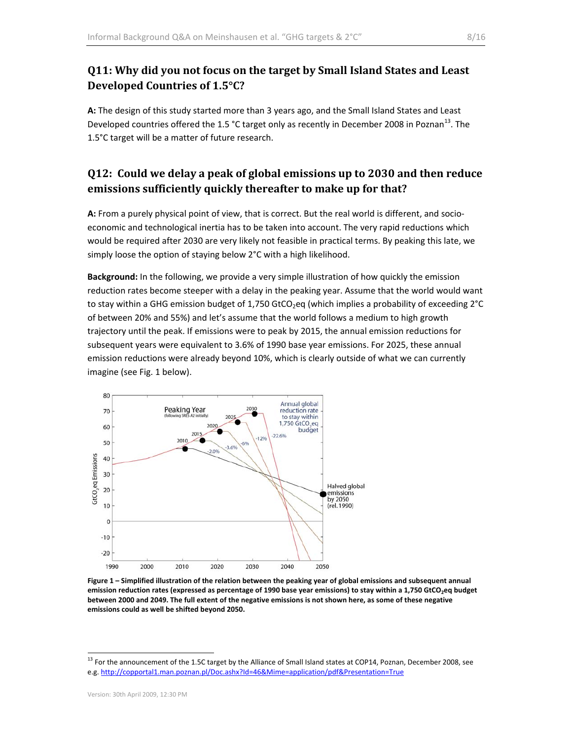#### **Q11: Why did you not focus on the target by Small Island States and Least Developed Countries of 1.5°C?**

**A:** The design of this study started more than 3 years ago, and the Small Island States and Least Developed countries offered the 1.5 °C target only as recently in December 2008 in Poznan<sup>13</sup>. The 1.5°C target will be a matter of future research.

## **Q12: Could we delay a peak of global emissions up to 2030 and then reduce emissions sufficiently quickly thereafter to make up for that?**

**A:** From a purely physical point of view, that is correct. But the real world is different, and socio‐ economic and technological inertia has to be taken into account. The very rapid reductions which would be required after 2030 are very likely not feasible in practical terms. By peaking this late, we simply loose the option of staying below 2°C with a high likelihood.

**Background:** In the following, we provide a very simple illustration of how quickly the emission reduction rates become steeper with a delay in the peaking year. Assume that the world would want to stay within a GHG emission budget of 1,750 GtCO<sub>2</sub>eq (which implies a probability of exceeding  $2^{\circ}C$ of between 20% and 55%) and let's assume that the world follows a medium to high growth trajectory until the peak. If emissions were to peak by 2015, the annual emission reductions for subsequent years were equivalent to 3.6% of 1990 base year emissions. For 2025, these annual emission reductions were already beyond 10%, which is clearly outside of what we can currently imagine (see Fig. 1 below).



Figure 1 - Simplified illustration of the relation between the peaking year of global emissions and subsequent annual emission reduction rates (expressed as percentage of 1990 base year emissions) to stay within a 1,750 GtCO<sub>2</sub>eq budget between 2000 and 2049. The full extent of the negative emissions is not shown here, as some of these negative **emissions could as well be shifted beyond 2050.** 

<sup>&</sup>lt;sup>13</sup> For the announcement of the 1.5C target by the Alliance of Small Island states at COP14, Poznan, December 2008, see e.g. http://copportal1.man.poznan.pl/Doc.ashx?Id=46&Mime=application/pdf&Presentation=True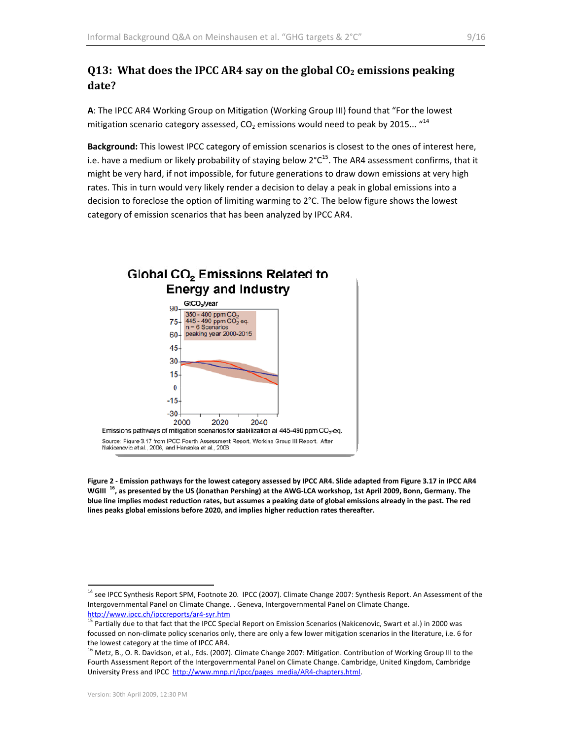## **Q13: What does the IPCC AR4 say on the global CO2 emissions peaking date?**

**A**: The IPCC AR4 Working Group on Mitigation (Working Group III) found that "For the lowest mitigation scenario category assessed,  $CO_2$  emissions would need to peak by 2015...  $44$ 

**Background:** This lowest IPCC category of emission scenarios is closest to the ones of interest here, i.e. have a medium or likely probability of staying below  $2^{\circ}C^{15}$ . The AR4 assessment confirms, that it might be very hard, if not impossible, for future generations to draw down emissions at very high rates. This in turn would very likely render a decision to delay a peak in global emissions into a decision to foreclose the option of limiting warming to 2°C. The below figure shows the lowest category of emission scenarios that has been analyzed by IPCC AR4.



Figure 2 - Emission pathways for the lowest category assessed by IPCC AR4. Slide adapted from Figure 3.17 in IPCC AR4 WGIII <sup>16</sup>, as presented by the US (Jonathan Pershing) at the AWG-LCA workshop, 1st April 2009, Bonn, Germany. The blue line implies modest reduction rates, but assumes a peaking date of global emissions already in the past. The red **lines peaks global emissions before 2020, and implies higher reduction rates thereafter.** 

<sup>&</sup>lt;sup>14</sup> see IPCC Synthesis Report SPM, Footnote 20. IPCC (2007). Climate Change 2007: Synthesis Report. An Assessment of the Intergovernmental Panel on Climate Change. . Geneva, Intergovernmental Panel on Climate Change.

http://www.ipcc.ch/ipccreports/ar4-syr.htm<br><sup>15</sup> Partially due to that fact that the IPCC Special Report on Emission Scenarios (Nakicenovic, Swart et al.) in 2000 was focussed on non‐climate policy scenarios only, there are only a few lower mitigation scenarios in the literature, i.e. 6 for

the lowest category at the time of IPCC AR4.<br><sup>16</sup> Metz, B., O. R. Davidson, et al., Eds. (2007). Climate Change 2007: Mitigation. Contribution of Working Group III to the Fourth Assessment Report of the Intergovernmental Panel on Climate Change. Cambridge, United Kingdom, Cambridge University Press and IPCC http://www.mnp.nl/ipcc/pages\_media/AR4-chapters.html.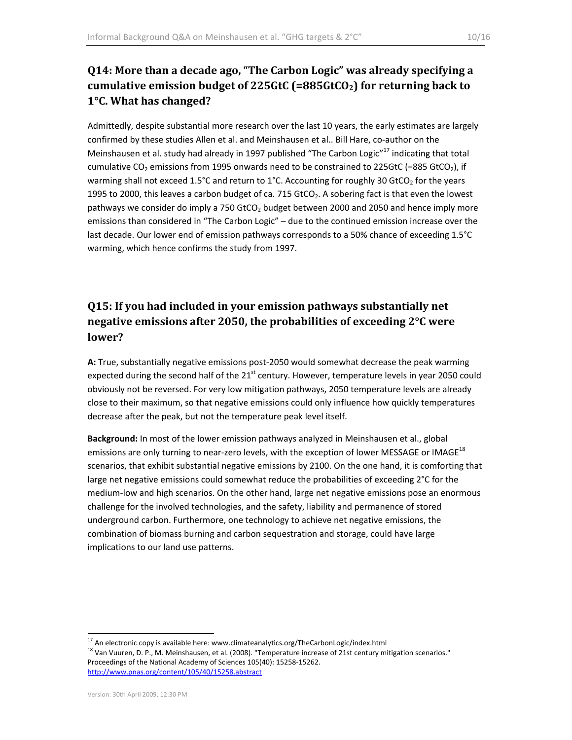# **Q14: More than a decade ago, "The Carbon Logic" was already specifying a cumulative emission budget of 225GtC (=885GtCO2) for returning back to 1°C. What has changed?**

Admittedly, despite substantial more research over the last 10 years, the early estimates are largely confirmed by these studies Allen et al. and Meinshausen et al.. Bill Hare, co-author on the Meinshausen et al. study had already in 1997 published "The Carbon Logic"<sup>17</sup> indicating that total cumulative CO<sub>2</sub> emissions from 1995 onwards need to be constrained to 225GtC (=885 GtCO<sub>2</sub>), if warming shall not exceed 1.5°C and return to 1°C. Accounting for roughly 30 GtCO<sub>2</sub> for the years 1995 to 2000, this leaves a carbon budget of ca. 715 GtCO<sub>2</sub>. A sobering fact is that even the lowest pathways we consider do imply a 750 GtCO<sub>2</sub> budget between 2000 and 2050 and hence imply more emissions than considered in "The Carbon Logic" – due to the continued emission increase over the last decade. Our lower end of emission pathways corresponds to a 50% chance of exceeding 1.5°C warming, which hence confirms the study from 1997.

# **Q15: If you had included in your emission pathways substantially net negative emissions after 2050, the probabilities of exceeding 2°C were lower?**

**A:** True, substantially negative emissions post‐2050 would somewhat decrease the peak warming expected during the second half of the 21<sup>st</sup> century. However, temperature levels in year 2050 could obviously not be reversed. For very low mitigation pathways, 2050 temperature levels are already close to their maximum, so that negative emissions could only influence how quickly temperatures decrease after the peak, but not the temperature peak level itself.

**Background:** In most of the lower emission pathways analyzed in Meinshausen et al., global emissions are only turning to near-zero levels, with the exception of lower MESSAGE or IMAGE<sup>18</sup> scenarios, that exhibit substantial negative emissions by 2100. On the one hand, it is comforting that large net negative emissions could somewhat reduce the probabilities of exceeding 2°C for the medium‐low and high scenarios. On the other hand, large net negative emissions pose an enormous challenge for the involved technologies, and the safety, liability and permanence of stored underground carbon. Furthermore, one technology to achieve net negative emissions, the combination of biomass burning and carbon sequestration and storage, could have large implications to our land use patterns.

<sup>&</sup>lt;sup>17</sup> An electronic copy is available here: www.climateanalytics.org/TheCarbonLogic/index.html<br><sup>18</sup> Van Vuuren, D. P., M. Meinshausen, et al. (2008). "Temperature increase of 21st century mitigation scenarios." Proceedings of the National Academy of Sciences 105(40): 15258‐15262. http://www.pnas.org/content/105/40/15258.abstract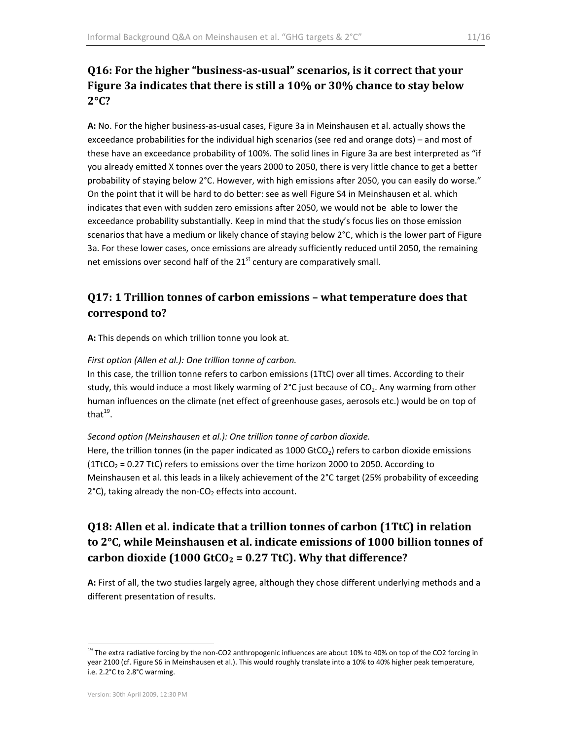# **Q16: For the higher "businessasusual" scenarios, is it correct that your Figure 3a indicates that there is still a 10% or 30% chance to stay below 2°C?**

**A:** No. For the higher business‐as‐usual cases, Figure 3a in Meinshausen et al. actually shows the exceedance probabilities for the individual high scenarios (see red and orange dots) – and most of these have an exceedance probability of 100%. The solid lines in Figure 3a are best interpreted as "if you already emitted X tonnes over the years 2000 to 2050, there is very little chance to get a better probability of staying below 2°C. However, with high emissions after 2050, you can easily do worse." On the point that it will be hard to do better: see as well Figure S4 in Meinshausen et al. which indicates that even with sudden zero emissions after 2050, we would not be able to lower the exceedance probability substantially. Keep in mind that the study's focus lies on those emission scenarios that have a medium or likely chance of staying below 2°C, which is the lower part of Figure 3a. For these lower cases, once emissions are already sufficiently reduced until 2050, the remaining net emissions over second half of the 21<sup>st</sup> century are comparatively small.

## **Q17: 1 Trillion tonnes of carbon emissions – what temperature does that correspond to?**

**A:** This depends on which trillion tonne you look at.

#### *First option (Allen et al.): One trillion tonne of carbon.*

In this case, the trillion tonne refers to carbon emissions (1TtC) over all times. According to their study, this would induce a most likely warming of  $2^{\circ}C$  just because of  $CO<sub>2</sub>$ . Any warming from other human influences on the climate (net effect of greenhouse gases, aerosols etc.) would be on top of that $19$ .

#### *Second option (Meinshausen et al.): One trillion tonne of carbon dioxide.*

Here, the trillion tonnes (in the paper indicated as 1000 GtCO $_2$ ) refers to carbon dioxide emissions (1TtCO<sub>2</sub> = 0.27 TtC) refers to emissions over the time horizon 2000 to 2050. According to Meinshausen et al. this leads in a likely achievement of the 2°C target (25% probability of exceeding  $2^{\circ}$ C), taking already the non-CO<sub>2</sub> effects into account.

# **Q18: Allen et al. indicate that a trillion tonnes of carbon (1TtC) in relation to 2°C, while Meinshausen et al. indicate emissions of 1000 billion tonnes of carbon dioxide**  $(1000 \text{ GtCO}_2 = 0.27 \text{ TtC})$ . Why that difference?

**A:** First of all, the two studies largely agree, although they chose different underlying methods and a different presentation of results.

<sup>&</sup>lt;sup>19</sup> The extra radiative forcing by the non-CO2 anthropogenic influences are about 10% to 40% on top of the CO2 forcing in year 2100 (cf. Figure S6 in Meinshausen et al.). This would roughly translate into a 10% to 40% higher peak temperature, i.e. 2.2°C to 2.8°C warming.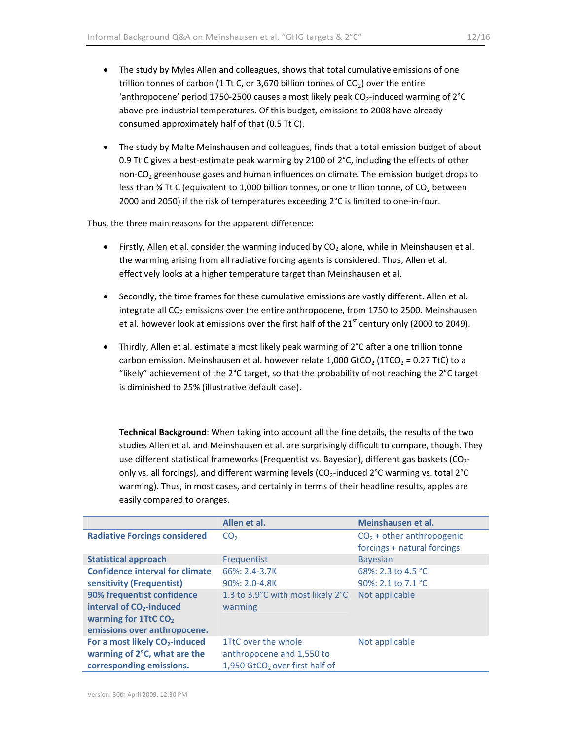- The study by Myles Allen and colleagues, shows that total cumulative emissions of one trillion tonnes of carbon (1 Tt C, or 3,670 billion tonnes of  $CO<sub>2</sub>$ ) over the entire 'anthropocene' period 1750-2500 causes a most likely peak  $CO_2$ -induced warming of 2°C above pre‐industrial temperatures. Of this budget, emissions to 2008 have already consumed approximately half of that (0.5 Tt C).
- The study by Malte Meinshausen and colleagues, finds that a total emission budget of about 0.9 Tt C gives a best-estimate peak warming by 2100 of 2°C, including the effects of other non‐CO<sub>2</sub> greenhouse gases and human influences on climate. The emission budget drops to less than  $\frac{3}{4}$  Tt C (equivalent to 1,000 billion tonnes, or one trillion tonne, of CO<sub>2</sub> between 2000 and 2050) if the risk of temperatures exceeding 2°C is limited to one‐in‐four.

Thus, the three main reasons for the apparent difference:

- Firstly, Allen et al. consider the warming induced by  $CO<sub>2</sub>$  alone, while in Meinshausen et al. the warming arising from all radiative forcing agents is considered. Thus, Allen et al. effectively looks at a higher temperature target than Meinshausen et al.
- Secondly, the time frames for these cumulative emissions are vastly different. Allen et al. integrate all  $CO<sub>2</sub>$  emissions over the entire anthropocene, from 1750 to 2500. Meinshausen et al. however look at emissions over the first half of the  $21<sup>st</sup>$  century only (2000 to 2049).
- Thirdly, Allen et al. estimate a most likely peak warming of 2°C after a one trillion tonne carbon emission. Meinshausen et al. however relate 1,000 GtCO<sub>2</sub> (1TCO<sub>2</sub> = 0.27 TtC) to a "likely" achievement of the 2°C target, so that the probability of not reaching the 2°C target is diminished to 25% (illustrative default case).

**Technical Background**: When taking into account all the fine details, the results of the two studies Allen et al. and Meinshausen et al. are surprisingly difficult to compare, though. They use different statistical frameworks (Frequentist vs. Bayesian), different gas baskets (CO<sub>2</sub>only vs. all forcings), and different warming levels (CO<sub>2</sub>-induced 2°C warming vs. total 2°C warming). Thus, in most cases, and certainly in terms of their headline results, apples are easily compared to oranges.

|                                                                                                                                                                                                               | Allen et al.                                                                                   | Meinshausen et al.                                         |
|---------------------------------------------------------------------------------------------------------------------------------------------------------------------------------------------------------------|------------------------------------------------------------------------------------------------|------------------------------------------------------------|
| <b>Radiative Forcings considered</b>                                                                                                                                                                          | CO <sub>2</sub>                                                                                | $CO2$ + other anthropogenic<br>forcings + natural forcings |
| <b>Statistical approach</b>                                                                                                                                                                                   | Frequentist                                                                                    | <b>Bayesian</b>                                            |
| <b>Confidence interval for climate</b><br>sensitivity (Frequentist)<br>90% frequentist confidence<br>interval of CO <sub>2</sub> -induced<br>warming for 1TtC CO <sub>2</sub><br>emissions over anthropocene. | 66%: 2.4-3.7K<br>90%: 2.0-4.8K<br>1.3 to 3.9°C with most likely 2°C<br>warming                 | 68%: 2.3 to 4.5 °C<br>90%: 2.1 to 7.1 °C<br>Not applicable |
| For a most likely CO <sub>2</sub> -induced<br>warming of 2°C, what are the<br>corresponding emissions.                                                                                                        | 1TtC over the whole<br>anthropocene and 1,550 to<br>1,950 GtCO <sub>2</sub> over first half of | Not applicable                                             |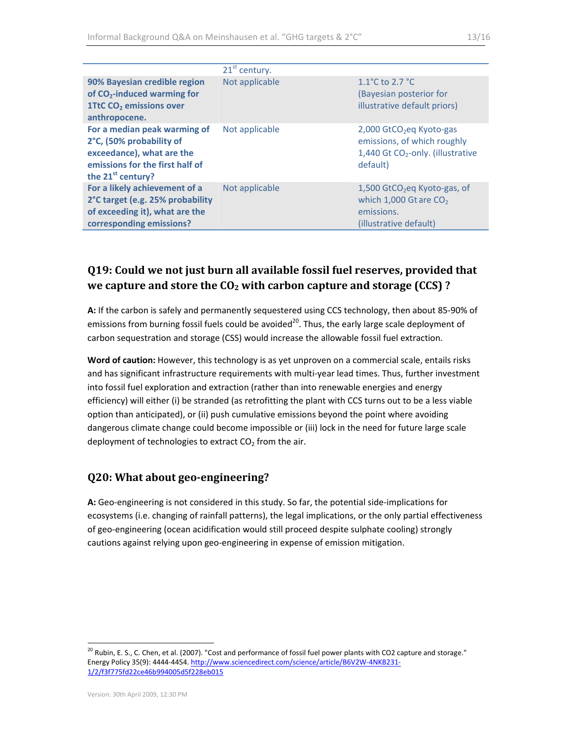|                                                                                                                                                    | $21st$ century. |                                                                                                                                  |
|----------------------------------------------------------------------------------------------------------------------------------------------------|-----------------|----------------------------------------------------------------------------------------------------------------------------------|
| 90% Bayesian credible region<br>of CO <sub>2</sub> -induced warming for<br><b>1TtC CO<sub>2</sub></b> emissions over<br>anthropocene.              | Not applicable  | 1.1 $^{\circ}$ C to 2.7 $^{\circ}$ C<br>(Bayesian posterior for<br>illustrative default priors)                                  |
| For a median peak warming of<br>2°C, (50% probability of<br>exceedance), what are the<br>emissions for the first half of<br>the $21^{st}$ century? | Not applicable  | 2,000 GtCO <sub>2</sub> eq Kyoto-gas<br>emissions, of which roughly<br>1,440 Gt CO <sub>2</sub> -only. (illustrative<br>default) |
| For a likely achievement of a<br>2°C target (e.g. 25% probability<br>of exceeding it), what are the<br>corresponding emissions?                    | Not applicable  | $1,500$ GtCO <sub>2</sub> eq Kyoto-gas, of<br>which $1,000$ Gt are $CO2$<br>emissions.<br>(illustrative default)                 |

## **Q19: Could we not just burn all available fossil fuel reserves, provided that we capture and store the CO2 with carbon capture and storage (CCS) ?**

**A:** If the carbon is safely and permanently sequestered using CCS technology, then about 85‐90% of emissions from burning fossil fuels could be avoided<sup>20</sup>. Thus, the early large scale deployment of carbon sequestration and storage (CSS) would increase the allowable fossil fuel extraction.

**Word of caution:** However, this technology is as yet unproven on a commercial scale, entails risks and has significant infrastructure requirements with multi-year lead times. Thus, further investment into fossil fuel exploration and extraction (rather than into renewable energies and energy efficiency) will either (i) be stranded (as retrofitting the plant with CCS turns out to be a less viable option than anticipated), or (ii) push cumulative emissions beyond the point where avoiding dangerous climate change could become impossible or (iii) lock in the need for future large scale deployment of technologies to extract  $CO<sub>2</sub>$  from the air.

#### **Q20: What about geoengineering?**

A: Geo-engineering is not considered in this study. So far, the potential side-implications for ecosystems (i.e. changing of rainfall patterns), the legal implications, or the only partial effectiveness of geo‐engineering (ocean acidification would still proceed despite sulphate cooling) strongly cautions against relying upon geo‐engineering in expense of emission mitigation.

<sup>&</sup>lt;sup>20</sup> Rubin, E. S., C. Chen, et al. (2007). "Cost and performance of fossil fuel power plants with CO2 capture and storage." Energy Policy 35(9): 4444-4454. http://www.sciencedirect.com/science/article/B6V2W-4NKB231-1/2/f3f775fd22ce46b994005d5f228eb015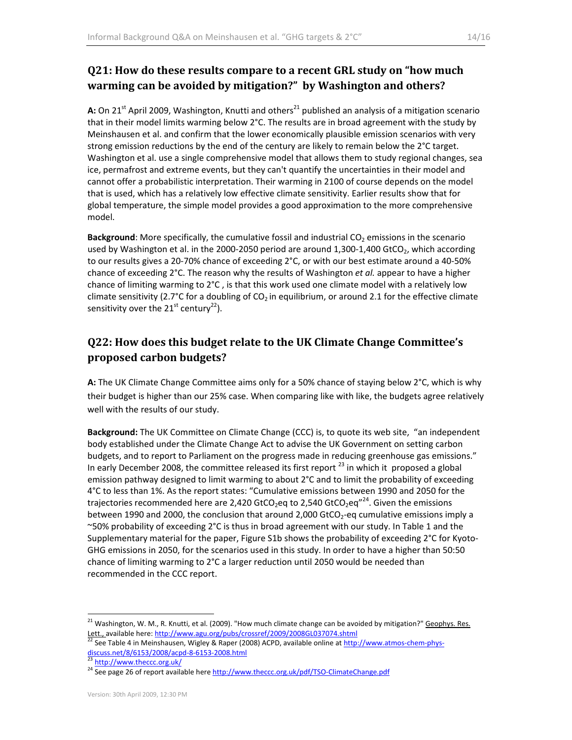## **Q21: How do these results compare to a recent GRL study on "how much warming can be avoided by mitigation?" by Washington and others?**

**A:** On 21<sup>st</sup> April 2009, Washington, Knutti and others<sup>21</sup> published an analysis of a mitigation scenario that in their model limits warming below 2°C. The results are in broad agreement with the study by Meinshausen et al. and confirm that the lower economically plausible emission scenarios with very strong emission reductions by the end of the century are likely to remain below the 2°C target. Washington et al. use a single comprehensive model that allows them to study regional changes, sea ice, permafrost and extreme events, but they can't quantify the uncertainties in their model and cannot offer a probabilistic interpretation. Their warming in 2100 of course depends on the model that is used, which has a relatively low effective climate sensitivity. Earlier results show that for global temperature, the simple model provides a good approximation to the more comprehensive model.

**Background:** More specifically, the cumulative fossil and industrial CO<sub>2</sub> emissions in the scenario used by Washington et al. in the 2000-2050 period are around 1,300-1,400 GtCO<sub>2</sub>, which according to our results gives a 20‐70% chance of exceeding 2°C, or with our best estimate around a 40‐50% chance of exceeding 2°C. The reason why the results of Washington *et al.* appear to have a higher chance of limiting warming to 2°C , is that this work used one climate model with a relatively low climate sensitivity (2.7°C for a doubling of CO<sub>2</sub> in equilibrium, or around 2.1 for the effective climate sensitivity over the  $21^{st}$  century<sup>22</sup>).

# **Q22: How does this budget relate to the UK Climate Change Committee's proposed carbon budgets?**

**A:** The UK Climate Change Committee aims only for a 50% chance of staying below 2°C, which is why their budget is higher than our 25% case. When comparing like with like, the budgets agree relatively well with the results of our study.

**Background:** The UK Committee on Climate Change (CCC) is, to quote its web site, "an independent body established under the Climate Change Act to advise the UK Government on setting carbon budgets, and to report to Parliament on the progress made in reducing greenhouse gas emissions." In early December 2008, the committee released its first report  $^{23}$  in which it proposed a global emission pathway designed to limit warming to about 2°C and to limit the probability of exceeding 4°C to less than 1%. As the report states: "Cumulative emissions between 1990 and 2050 for the trajectories recommended here are 2,420 GtCO<sub>2</sub>eq to 2,540 GtCO<sub>2</sub>eq<sup>"24</sup>. Given the emissions between 1990 and 2000, the conclusion that around 2,000 GtCO<sub>2</sub>-eq cumulative emissions imply a ~50% probability of exceeding 2°C is thus in broad agreement with our study. In Table 1 and the Supplementary material for the paper, Figure S1b shows the probability of exceeding 2°C for Kyoto-GHG emissions in 2050, for the scenarios used in this study. In order to have a higher than 50:50 chance of limiting warming to 2°C a larger reduction until 2050 would be needed than recommended in the CCC report.

 <sup>21</sup> Washington, W. M., R. Knutti, et al. (2009). "How much climate change can be avoided by mitigation?" <u>Geophys. Res.</u>

Lett., available here: http://www.agu.org/pubs/crossref/2009/2008GL037074.shtml<br>
<sup>22</sup> See Table 4 in Meinshausen, Wigley & Raper (2008) ACPD, available online at <u>http://www.atmos-chem-phys-</u><br>
discuss.net/8/6153/2008/

<sup>&</sup>lt;sup>23</sup> http://www.theccc.org.uk/<br><sup>24</sup> See page 26 of report available here <u>http://www.theccc.org.uk/pdf/TSO-ClimateChange.pdf</u>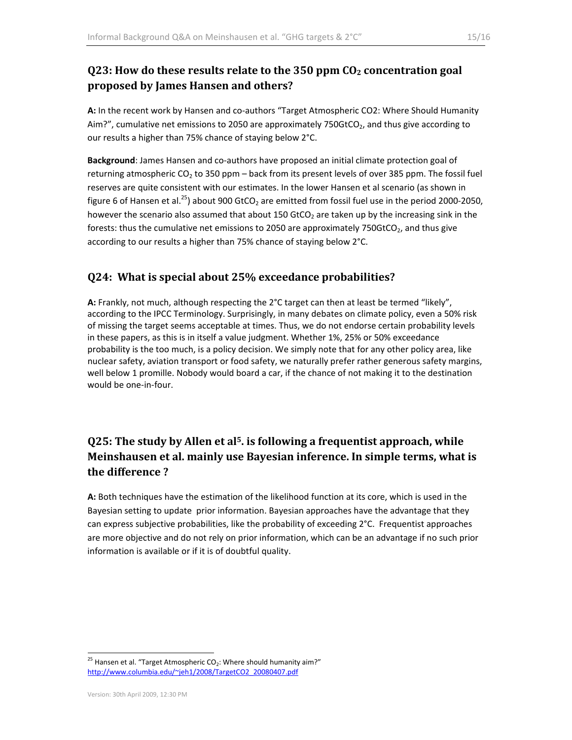## **Q23: How do these results relate to the 350 ppm CO2 concentration goal proposed by James Hansen and others?**

**A:** In the recent work by Hansen and co‐authors "Target Atmospheric CO2: Where Should Humanity Aim?", cumulative net emissions to 2050 are approximately 750GtCO<sub>2</sub>, and thus give according to our results a higher than 75% chance of staying below 2°C.

**Background**: James Hansen and co‐authors have proposed an initial climate protection goal of returning atmospheric  $CO<sub>2</sub>$  to 350 ppm – back from its present levels of over 385 ppm. The fossil fuel reserves are quite consistent with our estimates. In the lower Hansen et al scenario (as shown in figure 6 of Hansen et al.<sup>25</sup>) about 900 GtCO<sub>2</sub> are emitted from fossil fuel use in the period 2000-2050, however the scenario also assumed that about 150 GtCO<sub>2</sub> are taken up by the increasing sink in the forests: thus the cumulative net emissions to 2050 are approximately 750GtCO<sub>2</sub>, and thus give according to our results a higher than 75% chance of staying below 2°C.

#### **Q24: What is special about 25% exceedance probabilities?**

**A:** Frankly, not much, although respecting the 2°C target can then at least be termed "likely", according to the IPCC Terminology. Surprisingly, in many debates on climate policy, even a 50% risk of missing the target seems acceptable at times. Thus, we do not endorse certain probability levels in these papers, as this is in itself a value judgment. Whether 1%, 25% or 50% exceedance probability is the too much, is a policy decision. We simply note that for any other policy area, like nuclear safety, aviation transport or food safety, we naturally prefer rather generous safety margins, well below 1 promille. Nobody would board a car, if the chance of not making it to the destination would be one‐in‐four.

# **Q25: The study by Allen et al5. is following a frequentist approach, while Meinshausen et al. mainly use Bayesian inference. In simple terms, what is the difference ?**

**A:** Both techniques have the estimation of the likelihood function at its core, which is used in the Bayesian setting to update prior information. Bayesian approaches have the advantage that they can express subjective probabilities, like the probability of exceeding 2°C. Frequentist approaches are more objective and do not rely on prior information, which can be an advantage if no such prior information is available or if it is of doubtful quality.

 <sup>25</sup> Hansen et al. "Target Atmospheric CO<sub>2</sub>: Where should humanity aim?" http://www.columbia.edu/~jeh1/2008/TargetCO2\_20080407.pdf